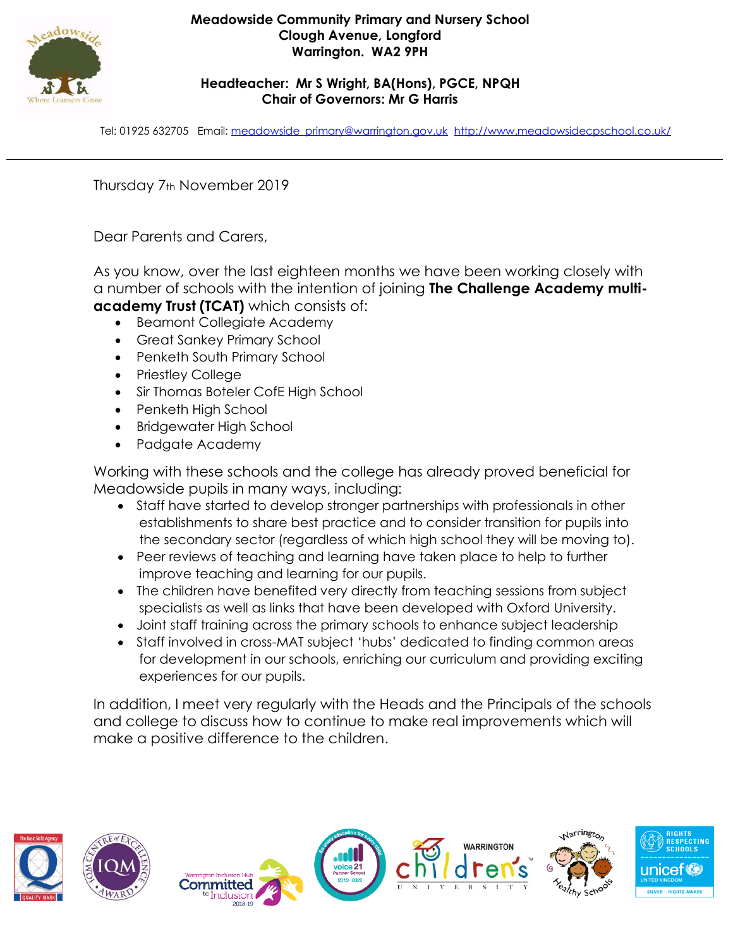

## **Meadowside Community Primary and Nursery School Clough Avenue, Longford Warrington. WA2 9PH**

## **Headteacher: Mr S Wright, BA(Hons), PGCE, NPQH Chair of Governors: Mr G Harris**

Tel: 01925 632705 Email: [meadowside\\_primary@warrington.gov.uk](mailto:meadowside_primary@warrington.gov.uk) <http://www.meadowsidecpschool.co.uk/>

Thursday 7th November 2019

Dear Parents and Carers,

As you know, over the last eighteen months we have been working closely with a number of schools with the intention of joining **The Challenge Academy multiacademy Trust (TCAT)** which consists of:

- Beamont Collegiate Academy
- Great Sankey Primary School
- Penketh South Primary School
- Priestley College
- Sir Thomas Boteler CofE High School
- Penketh High School
- Bridgewater High School
- Padgate Academy

Working with these schools and the college has already proved beneficial for Meadowside pupils in many ways, including:

- Staff have started to develop stronger partnerships with professionals in other establishments to share best practice and to consider transition for pupils into the secondary sector (regardless of which high school they will be moving to).
- Peer reviews of teaching and learning have taken place to help to further improve teaching and learning for our pupils.
- The children have benefited very directly from teaching sessions from subject specialists as well as links that have been developed with Oxford University.
- Joint staff training across the primary schools to enhance subject leadership
- Staff involved in cross-MAT subject 'hubs' dedicated to finding common areas for development in our schools, enriching our curriculum and providing exciting experiences for our pupils.

In addition, I meet very regularly with the Heads and the Principals of the schools and college to discuss how to continue to make real improvements which will make a positive difference to the children.